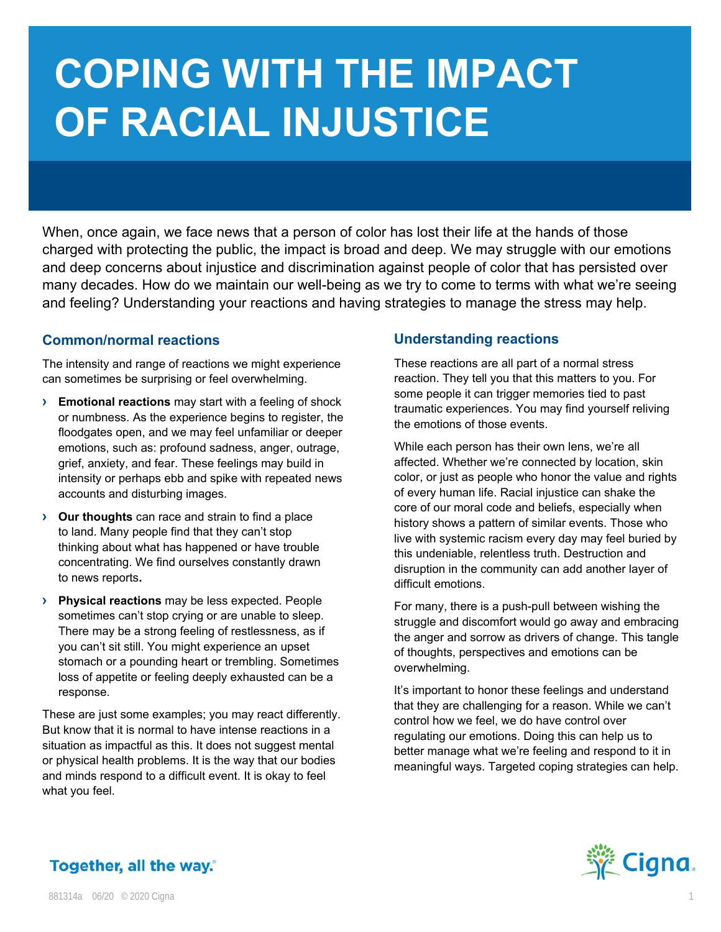# **COPING WITH THE IMPACT OF RACIAL INJUSTICE**

When, once again, we face news that a person of color has lost their life at the hands of those charged with protecting the public, the impact is broad and deep. We may struggle with our emotions and deep concerns about injustice and discrimination against people of color that has persisted over many decades. How do we maintain our well-being as we try to come to terms with what we're seeing and feeling? Understanding your reactions and having strategies to manage the stress may help.

# **Common/normal reactions**

The intensity and range of reactions we might experience can sometimes be surprising or feel overwhelming.

- **› Emotional reactions** may start with a feeling of shock or numbness. As the experience begins to register, the floodgates open, and we may feel unfamiliar or deeper emotions, such as: profound sadness, anger, outrage, grief, anxiety, and fear. These feelings may build in intensity or perhaps ebb and spike with repeated news accounts and disturbing images.
- **› Our thoughts** can race and strain to find a place to land. Many people find that they can't stop thinking about what has happened or have trouble concentrating. We find ourselves constantly drawn to news reports**.**
- **› Physical reactions** may be less expected. People sometimes can't stop crying or are unable to sleep. There may be a strong feeling of restlessness, as if you can't sit still. You might experience an upset stomach or a pounding heart or trembling. Sometimes loss of appetite or feeling deeply exhausted can be a response.

These are just some examples; you may react differently. But know that it is normal to have intense reactions in a situation as impactful as this. It does not suggest mental or physical health problems. It is the way that our bodies and minds respond to a difficult event. It is okay to feel what you feel.

## **Understanding reactions**

These reactions are all part of a normal stress reaction. They tell you that this matters to you. For some people it can trigger memories tied to past traumatic experiences. You may find yourself reliving the emotions of those events.

While each person has their own lens, we're all affected. Whether we're connected by location, skin color, or just as people who honor the value and rights of every human life. Racial injustice can shake the core of our moral code and beliefs, especially when history shows a pattern of similar events. Those who live with systemic racism every day may feel buried by this undeniable, relentless truth. Destruction and disruption in the community can add another layer of difficult emotions.

For many, there is a push-pull between wishing the struggle and discomfort would go away and embracing the anger and sorrow as drivers of change. This tangle of thoughts, perspectives and emotions can be overwhelming.

It's important to honor these feelings and understand that they are challenging for a reason. While we can't control how we feel, we do have control over regulating our emotions. Doing this can help us to better manage what we're feeling and respond to it in meaningful ways. Targeted coping strategies can help.



# Together, all the way.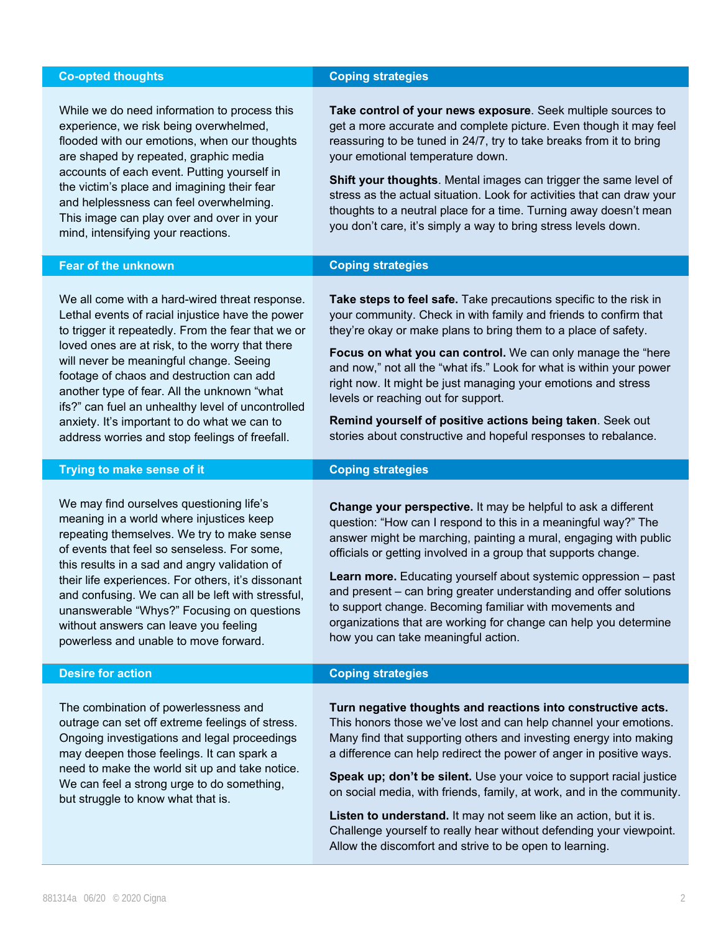## **Co-opted thoughts Coping strategies**

While we do need information to process this experience, we risk being overwhelmed, flooded with our emotions, when our thoughts are shaped by repeated, graphic media accounts of each event. Putting yourself in the victim's place and imagining their fear and helplessness can feel overwhelming. This image can play over and over in your mind, intensifying your reactions.

**Take control of your news exposure**. Seek multiple sources to get a more accurate and complete picture. Even though it may feel reassuring to be tuned in 24/7, try to take breaks from it to bring your emotional temperature down.

**Shift your thoughts**. Mental images can trigger the same level of stress as the actual situation. Look for activities that can draw your thoughts to a neutral place for a time. Turning away doesn't mean you don't care, it's simply a way to bring stress levels down.

## **Fear of the unknown Coping strategies**

We all come with a hard-wired threat response. Lethal events of racial injustice have the power to trigger it repeatedly. From the fear that we or loved ones are at risk, to the worry that there will never be meaningful change. Seeing footage of chaos and destruction can add another type of fear. All the unknown "what ifs?" can fuel an unhealthy level of uncontrolled anxiety. It's important to do what we can to address worries and stop feelings of freefall.

### **Trying to make sense of it Coping strategies**

We may find ourselves questioning life's meaning in a world where injustices keep repeating themselves. We try to make sense of events that feel so senseless. For some, this results in a sad and angry validation of their life experiences. For others, it's dissonant and confusing. We can all be left with stressful, unanswerable "Whys?" Focusing on questions without answers can leave you feeling powerless and unable to move forward.

The combination of powerlessness and outrage can set off extreme feelings of stress. Ongoing investigations and legal proceedings may deepen those feelings. It can spark a need to make the world sit up and take notice. We can feel a strong urge to do something, but struggle to know what that is.

**Take steps to feel safe.** Take precautions specific to the risk in your community. Check in with family and friends to confirm that they're okay or make plans to bring them to a place of safety.

**Focus on what you can control.** We can only manage the "here and now," not all the "what ifs." Look for what is within your power right now. It might be just managing your emotions and stress levels or reaching out for support.

**Remind yourself of positive actions being taken**. Seek out stories about constructive and hopeful responses to rebalance.

**Change your perspective.** It may be helpful to ask a different question: "How can I respond to this in a meaningful way?" The answer might be marching, painting a mural, engaging with public officials or getting involved in a group that supports change.

**Learn more.** Educating yourself about systemic oppression – past and present – can bring greater understanding and offer solutions to support change. Becoming familiar with movements and organizations that are working for change can help you determine how you can take meaningful action.

# **Desire for action Coping strategies**

**Turn negative thoughts and reactions into constructive acts.** This honors those we've lost and can help channel your emotions. Many find that supporting others and investing energy into making a difference can help redirect the power of anger in positive ways.

**Speak up; don't be silent.** Use your voice to support racial justice on social media, with friends, family, at work, and in the community.

**Listen to understand.** It may not seem like an action, but it is. Challenge yourself to really hear without defending your viewpoint. Allow the discomfort and strive to be open to learning.